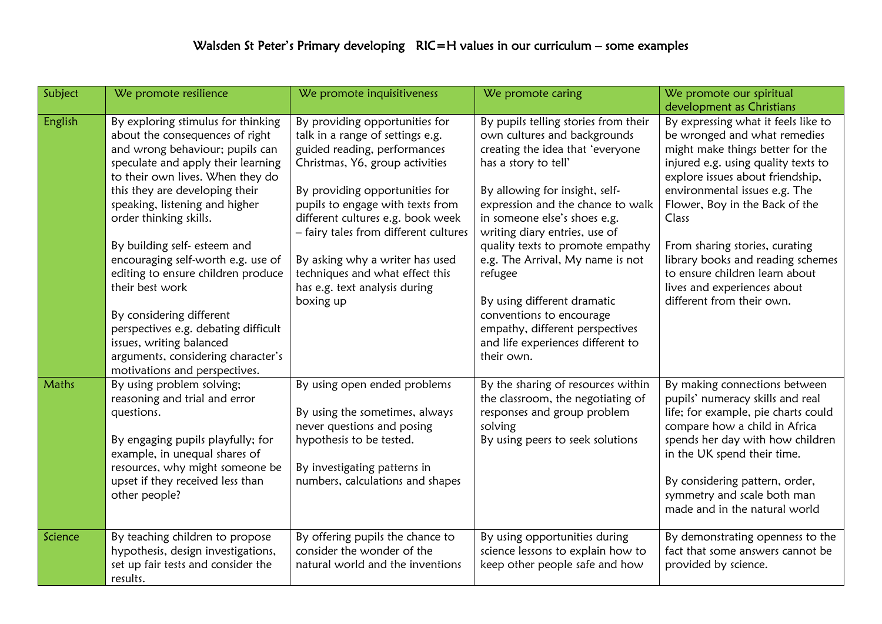| Subject | We promote resilience                | We promote inquisitiveness            | We promote caring                    | We promote our spiritual            |
|---------|--------------------------------------|---------------------------------------|--------------------------------------|-------------------------------------|
|         |                                      |                                       |                                      | development as Christians           |
| English | By exploring stimulus for thinking   | By providing opportunities for        | By pupils telling stories from their | By expressing what it feels like to |
|         | about the consequences of right      | talk in a range of settings e.g.      | own cultures and backgrounds         | be wronged and what remedies        |
|         | and wrong behaviour; pupils can      | guided reading, performances          | creating the idea that 'everyone     | might make things better for the    |
|         | speculate and apply their learning   | Christmas, Y6, group activities       | has a story to tell'                 | injured e.g. using quality texts to |
|         | to their own lives. When they do     |                                       |                                      | explore issues about friendship,    |
|         | this they are developing their       | By providing opportunities for        | By allowing for insight, self-       | environmental issues e.g. The       |
|         | speaking, listening and higher       | pupils to engage with texts from      | expression and the chance to walk    | Flower, Boy in the Back of the      |
|         | order thinking skills.               | different cultures e.g. book week     | in someone else's shoes e.g.         | Class                               |
|         |                                      | - fairy tales from different cultures | writing diary entries, use of        |                                     |
|         | By building self- esteem and         |                                       | quality texts to promote empathy     | From sharing stories, curating      |
|         | encouraging self-worth e.g. use of   | By asking why a writer has used       | e.g. The Arrival, My name is not     | library books and reading schemes   |
|         | editing to ensure children produce   | techniques and what effect this       | refugee                              | to ensure children learn about      |
|         | their best work                      | has e.g. text analysis during         |                                      | lives and experiences about         |
|         |                                      | boxing up                             | By using different dramatic          | different from their own.           |
|         | By considering different             |                                       | conventions to encourage             |                                     |
|         | perspectives e.g. debating difficult |                                       | empathy, different perspectives      |                                     |
|         | issues, writing balanced             |                                       | and life experiences different to    |                                     |
|         | arguments, considering character's   |                                       | their own.                           |                                     |
|         | motivations and perspectives.        |                                       |                                      |                                     |
| Maths   | By using problem solving;            | By using open ended problems          | By the sharing of resources within   | By making connections between       |
|         | reasoning and trial and error        |                                       | the classroom, the negotiating of    | pupils' numeracy skills and real    |
|         | questions.                           | By using the sometimes, always        | responses and group problem          | life; for example, pie charts could |
|         |                                      | never questions and posing            | solving                              | compare how a child in Africa       |
|         | By engaging pupils playfully; for    | hypothesis to be tested.              | By using peers to seek solutions     | spends her day with how children    |
|         | example, in unequal shares of        |                                       |                                      | in the UK spend their time.         |
|         | resources, why might someone be      | By investigating patterns in          |                                      |                                     |
|         | upset if they received less than     | numbers, calculations and shapes      |                                      | By considering pattern, order,      |
|         | other people?                        |                                       |                                      | symmetry and scale both man         |
|         |                                      |                                       |                                      | made and in the natural world       |
| Science | By teaching children to propose      | By offering pupils the chance to      | By using opportunities during        | By demonstrating openness to the    |
|         | hypothesis, design investigations,   | consider the wonder of the            | science lessons to explain how to    | fact that some answers cannot be    |
|         | set up fair tests and consider the   | natural world and the inventions      | keep other people safe and how       | provided by science.                |
|         | results.                             |                                       |                                      |                                     |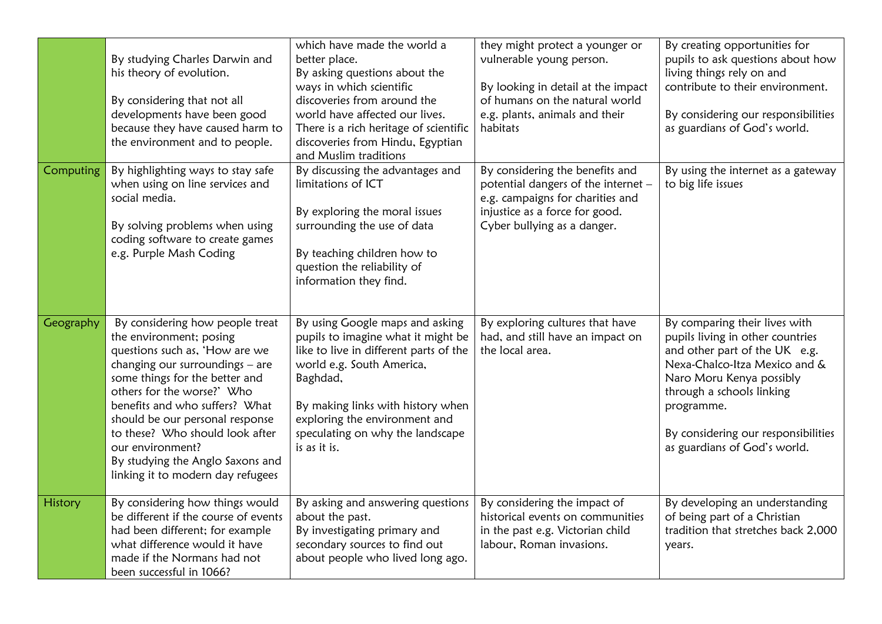|           | By studying Charles Darwin and<br>his theory of evolution.<br>By considering that not all<br>developments have been good<br>because they have caused harm to<br>the environment and to people.                                                                                                                                                                                                       | which have made the world a<br>better place.<br>By asking questions about the<br>ways in which scientific<br>discoveries from around the<br>world have affected our lives.<br>There is a rich heritage of scientific<br>discoveries from Hindu, Egyptian<br>and Muslim traditions  | they might protect a younger or<br>vulnerable young person.<br>By looking in detail at the impact<br>of humans on the natural world<br>e.g. plants, animals and their<br>habitats | By creating opportunities for<br>pupils to ask questions about how<br>living things rely on and<br>contribute to their environment.<br>By considering our responsibilities<br>as guardians of God's world.                                                                        |
|-----------|------------------------------------------------------------------------------------------------------------------------------------------------------------------------------------------------------------------------------------------------------------------------------------------------------------------------------------------------------------------------------------------------------|------------------------------------------------------------------------------------------------------------------------------------------------------------------------------------------------------------------------------------------------------------------------------------|-----------------------------------------------------------------------------------------------------------------------------------------------------------------------------------|-----------------------------------------------------------------------------------------------------------------------------------------------------------------------------------------------------------------------------------------------------------------------------------|
| Computing | By highlighting ways to stay safe<br>when using on line services and<br>social media.<br>By solving problems when using<br>coding software to create games<br>e.g. Purple Mash Coding                                                                                                                                                                                                                | By discussing the advantages and<br>limitations of ICT<br>By exploring the moral issues<br>surrounding the use of data<br>By teaching children how to<br>question the reliability of<br>information they find.                                                                     | By considering the benefits and<br>potential dangers of the internet -<br>e.g. campaigns for charities and<br>injustice as a force for good.<br>Cyber bullying as a danger.       | By using the internet as a gateway<br>to big life issues                                                                                                                                                                                                                          |
| Geography | By considering how people treat<br>the environment; posing<br>questions such as, 'How are we<br>changing our surroundings - are<br>some things for the better and<br>others for the worse?' Who<br>benefits and who suffers? What<br>should be our personal response<br>to these? Who should look after<br>our environment?<br>By studying the Anglo Saxons and<br>linking it to modern day refugees | By using Google maps and asking<br>pupils to imagine what it might be<br>like to live in different parts of the<br>world e.g. South America,<br>Baghdad,<br>By making links with history when<br>exploring the environment and<br>speculating on why the landscape<br>is as it is. | By exploring cultures that have<br>had, and still have an impact on<br>the local area.                                                                                            | By comparing their lives with<br>pupils living in other countries<br>and other part of the UK e.g.<br>Nexa-Chalco-Itza Mexico and &<br>Naro Moru Kenya possibly<br>through a schools linking<br>programme.<br>By considering our responsibilities<br>as guardians of God's world. |
| History   | By considering how things would<br>be different if the course of events<br>had been different; for example<br>what difference would it have<br>made if the Normans had not<br>been successful in 1066?                                                                                                                                                                                               | By asking and answering questions<br>about the past.<br>By investigating primary and<br>secondary sources to find out<br>about people who lived long ago.                                                                                                                          | By considering the impact of<br>historical events on communities<br>in the past e.g. Victorian child<br>labour, Roman invasions.                                                  | By developing an understanding<br>of being part of a Christian<br>tradition that stretches back 2,000<br>years.                                                                                                                                                                   |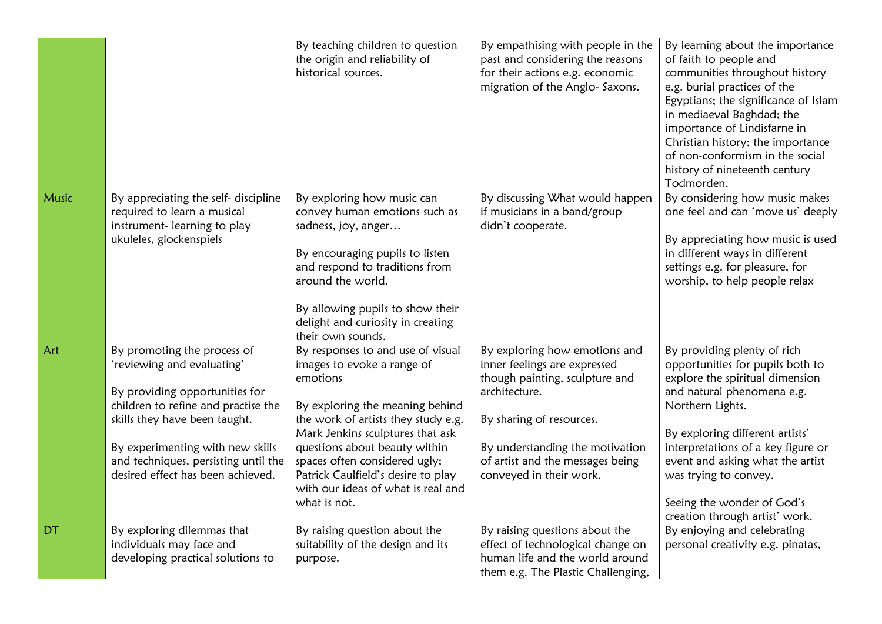|       |                                                                                                                                                                                                                                                                                      | By teaching children to question<br>the origin and reliability of<br>historical sources.                                                                                                                                                                                                                                                                | By empathising with people in the<br>past and considering the reasons<br>for their actions e.g. economic<br>migration of the Anglo- Saxons.                                                                                                    | By learning about the importance<br>of faith to people and<br>communities throughout history<br>e.g. burial practices of the<br>Egyptians; the significance of Islam<br>in mediaeval Baghdad; the<br>importance of Lindisfarne in<br>Christian history; the importance<br>of non-conformism in the social<br>history of nineteenth century<br>Todmorden.   |
|-------|--------------------------------------------------------------------------------------------------------------------------------------------------------------------------------------------------------------------------------------------------------------------------------------|---------------------------------------------------------------------------------------------------------------------------------------------------------------------------------------------------------------------------------------------------------------------------------------------------------------------------------------------------------|------------------------------------------------------------------------------------------------------------------------------------------------------------------------------------------------------------------------------------------------|------------------------------------------------------------------------------------------------------------------------------------------------------------------------------------------------------------------------------------------------------------------------------------------------------------------------------------------------------------|
| Music | By appreciating the self- discipline<br>required to learn a musical<br>instrument-learning to play<br>ukuleles, glockenspiels                                                                                                                                                        | By exploring how music can<br>convey human emotions such as<br>sadness, joy, anger<br>By encouraging pupils to listen<br>and respond to traditions from<br>around the world.<br>By allowing pupils to show their<br>delight and curiosity in creating<br>their own sounds.                                                                              | By discussing What would happen<br>if musicians in a band/group<br>didn't cooperate.                                                                                                                                                           | By considering how music makes<br>one feel and can 'move us' deeply<br>By appreciating how music is used<br>in different ways in different<br>settings e.g. for pleasure, for<br>worship, to help people relax                                                                                                                                             |
| Art   | By promoting the process of<br>'reviewing and evaluating'<br>By providing opportunities for<br>children to refine and practise the<br>skills they have been taught.<br>By experimenting with new skills<br>and techniques, persisting until the<br>desired effect has been achieved. | By responses to and use of visual<br>images to evoke a range of<br>emotions<br>By exploring the meaning behind<br>the work of artists they study e.g.<br>Mark Jenkins sculptures that ask<br>questions about beauty within<br>spaces often considered ugly;<br>Patrick Caulfield's desire to play<br>with our ideas of what is real and<br>what is not. | By exploring how emotions and<br>inner feelings are expressed<br>though painting, sculpture and<br>architecture.<br>By sharing of resources.<br>By understanding the motivation<br>of artist and the messages being<br>conveyed in their work. | By providing plenty of rich<br>opportunities for pupils both to<br>explore the spiritual dimension<br>and natural phenomena e.g.<br>Northern Lights.<br>By exploring different artists'<br>interpretations of a key figure or<br>event and asking what the artist<br>was trying to convey.<br>Seeing the wonder of God's<br>creation through artist' work. |
| DT    | By exploring dilemmas that<br>individuals may face and<br>developing practical solutions to                                                                                                                                                                                          | By raising question about the<br>suitability of the design and its<br>purpose.                                                                                                                                                                                                                                                                          | By raising questions about the<br>effect of technological change on<br>human life and the world around<br>them e.g. The Plastic Challenging,                                                                                                   | By enjoying and celebrating<br>personal creativity e.g. pinatas,                                                                                                                                                                                                                                                                                           |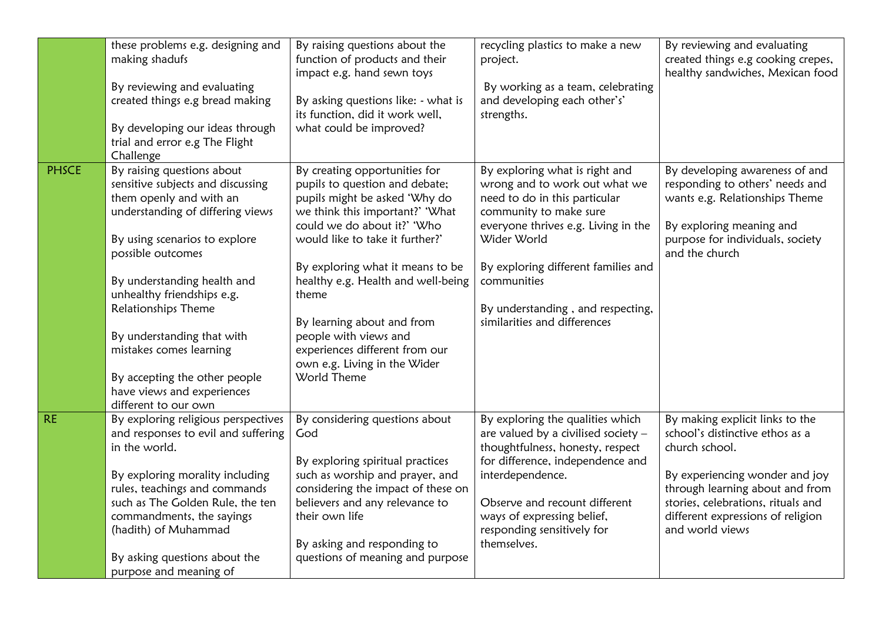|              | these problems e.g. designing and<br>making shadufs<br>By reviewing and evaluating<br>created things e.g bread making<br>By developing our ideas through<br>trial and error e.g The Flight<br>Challenge                                                                                                                                                                                                                  | By raising questions about the<br>function of products and their<br>impact e.g. hand sewn toys<br>By asking questions like: - what is<br>its function, did it work well,<br>what could be improved?                                                                                                                                                                                                                              | recycling plastics to make a new<br>project.<br>By working as a team, celebrating<br>and developing each other's'<br>strengths.                                                                                                                                                                             | By reviewing and evaluating<br>created things e.g cooking crepes,<br>healthy sandwiches, Mexican food                                                                                                                                                   |
|--------------|--------------------------------------------------------------------------------------------------------------------------------------------------------------------------------------------------------------------------------------------------------------------------------------------------------------------------------------------------------------------------------------------------------------------------|----------------------------------------------------------------------------------------------------------------------------------------------------------------------------------------------------------------------------------------------------------------------------------------------------------------------------------------------------------------------------------------------------------------------------------|-------------------------------------------------------------------------------------------------------------------------------------------------------------------------------------------------------------------------------------------------------------------------------------------------------------|---------------------------------------------------------------------------------------------------------------------------------------------------------------------------------------------------------------------------------------------------------|
| <b>PHSCE</b> | By raising questions about<br>sensitive subjects and discussing<br>them openly and with an<br>understanding of differing views<br>By using scenarios to explore<br>possible outcomes<br>By understanding health and<br>unhealthy friendships e.g.<br>Relationships Theme<br>By understanding that with<br>mistakes comes learning<br>By accepting the other people<br>have views and experiences<br>different to our own | By creating opportunities for<br>pupils to question and debate;<br>pupils might be asked 'Why do<br>we think this important?' 'What<br>could we do about it?' 'Who<br>would like to take it further?'<br>By exploring what it means to be<br>healthy e.g. Health and well-being<br>theme<br>By learning about and from<br>people with views and<br>experiences different from our<br>own e.g. Living in the Wider<br>World Theme | By exploring what is right and<br>wrong and to work out what we<br>need to do in this particular<br>community to make sure<br>everyone thrives e.g. Living in the<br>Wider World<br>By exploring different families and<br>communities<br>By understanding, and respecting,<br>similarities and differences | By developing awareness of and<br>responding to others' needs and<br>wants e.g. Relationships Theme<br>By exploring meaning and<br>purpose for individuals, society<br>and the church                                                                   |
| <b>RE</b>    | By exploring religious perspectives<br>and responses to evil and suffering<br>in the world.<br>By exploring morality including<br>rules, teachings and commands<br>such as The Golden Rule, the ten<br>commandments, the sayings<br>(hadith) of Muhammad<br>By asking questions about the<br>purpose and meaning of                                                                                                      | By considering questions about<br>God<br>By exploring spiritual practices<br>such as worship and prayer, and<br>considering the impact of these on<br>believers and any relevance to<br>their own life<br>By asking and responding to<br>questions of meaning and purpose                                                                                                                                                        | By exploring the qualities which<br>are valued by a civilised society $-$<br>thoughtfulness, honesty, respect<br>for difference, independence and<br>interdependence.<br>Observe and recount different<br>ways of expressing belief,<br>responding sensitively for<br>themselves.                           | By making explicit links to the<br>school's distinctive ethos as a<br>church school.<br>By experiencing wonder and joy<br>through learning about and from<br>stories, celebrations, rituals and<br>different expressions of religion<br>and world views |